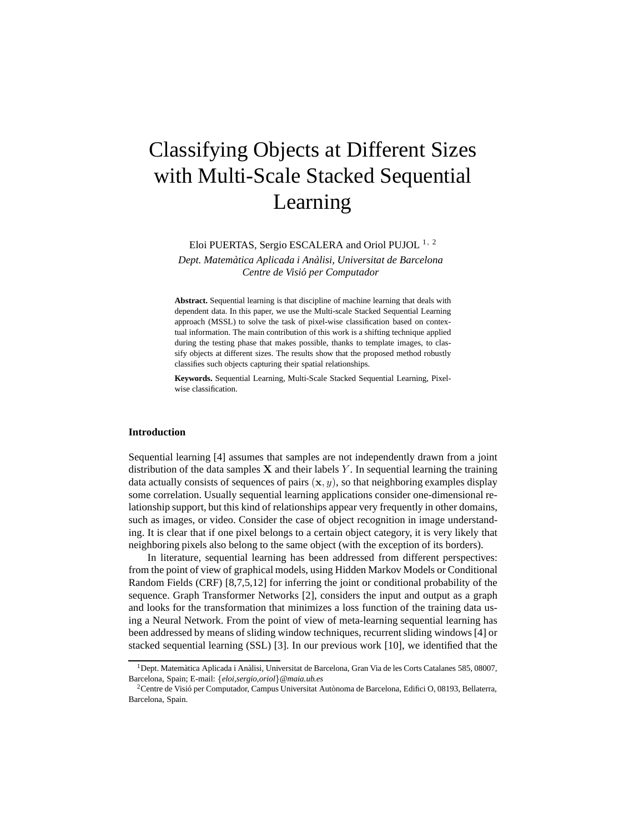# Classifying Objects at Different Sizes with Multi-Scale Stacked Sequential Learning

Eloi PUERTAS, Sergio ESCALERA and Oriol PUJOL<sup>1, 2</sup>

*Dept. Matematica Aplicada i An ` alisi, Universitat de Barcelona ` Centre de Visio per Computador ´*

**Abstract.** Sequential learning is that discipline of machine learning that deals with dependent data. In this paper, we use the Multi-scale Stacked Sequential Learning approach (MSSL) to solve the task of pixel-wise classification based on contextual information. The main contribution of this work is a shifting technique applied during the testing phase that makes possible, thanks to template images, to classify objects at different sizes. The results show that the proposed method robustly classifies such objects capturing their spatial relationships.

**Keywords.** Sequential Learning, Multi-Scale Stacked Sequential Learning, Pixelwise classification.

## **Introduction**

Sequential learning [4] assumes that samples are not independently drawn from a joint distribution of the data samples  $X$  and their labels Y. In sequential learning the training data actually consists of sequences of pairs  $(x, y)$ , so that neighboring examples display some correlation. Usually sequential learning applications consider one-dimensional relationship support, but this kind of relationships appear very frequently in other domains, such as images, or video. Consider the case of object recognition in image understanding. It is clear that if one pixel belongs to a certain object category, it is very likely that neighboring pixels also belong to the same object (with the exception of its borders).

In literature, sequential learning has been addressed from different perspectives: from the point of view of graphical models, using Hidden Markov Models or Conditional Random Fields (CRF) [8,7,5,12] for inferring the joint or conditional probability of the sequence. Graph Transformer Networks [2], considers the input and output as a graph and looks for the transformation that minimizes a loss function of the training data using a Neural Network. From the point of view of meta-learning sequential learning has been addressed by means of sliding window techniques, recurrent sliding windows [4] or stacked sequential learning (SSL) [3]. In our previous work [10], we identified that the

<sup>&</sup>lt;sup>1</sup>Dept. Matemàtica Aplicada i Anàlisi, Universitat de Barcelona, Gran Via de les Corts Catalanes 585, 08007, Barcelona, Spain; E-mail: {*eloi,sergio,oriol*}*@maia.ub.es*

<sup>&</sup>lt;sup>2</sup>Centre de Visió per Computador, Campus Universitat Autònoma de Barcelona, Edifici O, 08193, Bellaterra, Barcelona, Spain.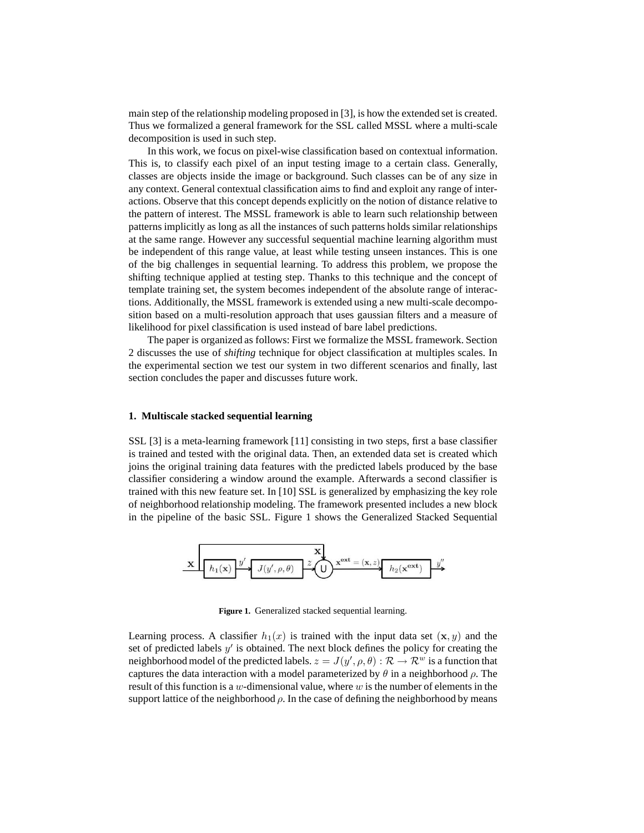main step of the relationship modeling proposed in [3], is how the extended set is created. Thus we formalized a general framework for the SSL called MSSL where a multi-scale decomposition is used in such step.

In this work, we focus on pixel-wise classification based on contextual information. This is, to classify each pixel of an input testing image to a certain class. Generally, classes are objects inside the image or background. Such classes can be of any size in any context. General contextual classification aims to find and exploit any range of interactions. Observe that this concept depends explicitly on the notion of distance relative to the pattern of interest. The MSSL framework is able to learn such relationship between patterns implicitly as long as all the instances of such patterns holds similar relationships at the same range. However any successful sequential machine learning algorithm must be independent of this range value, at least while testing unseen instances. This is one of the big challenges in sequential learning. To address this problem, we propose the shifting technique applied at testing step. Thanks to this technique and the concept of template training set, the system becomes independent of the absolute range of interactions. Additionally, the MSSL framework is extended using a new multi-scale decomposition based on a multi-resolution approach that uses gaussian filters and a measure of likelihood for pixel classification is used instead of bare label predictions.

The paper is organized as follows: First we formalize the MSSL framework. Section 2 discusses the use of *shifting* technique for object classification at multiples scales. In the experimental section we test our system in two different scenarios and finally, last section concludes the paper and discusses future work.

## **1. Multiscale stacked sequential learning**

SSL [3] is a meta-learning framework [11] consisting in two steps, first a base classifier is trained and tested with the original data. Then, an extended data set is created which joins the original training data features with the predicted labels produced by the base classifier considering a window around the example. Afterwards a second classifier is trained with this new feature set. In [10] SSL is generalized by emphasizing the key role of neighborhood relationship modeling. The framework presented includes a new block in the pipeline of the basic SSL. Figure 1 shows the Generalized Stacked Sequential



**Figure 1.** Generalized stacked sequential learning.

Learning process. A classifier  $h_1(x)$  is trained with the input data set  $(x, y)$  and the set of predicted labels  $y'$  is obtained. The next block defines the policy for creating the neighborhood model of the predicted labels.  $z = J(y', \rho, \theta) : \mathcal{R} \to \mathcal{R}^w$  is a function that captures the data interaction with a model parameterized by  $\theta$  in a neighborhood  $\rho$ . The result of this function is a w-dimensional value, where w is the number of elements in the support lattice of the neighborhood  $\rho$ . In the case of defining the neighborhood by means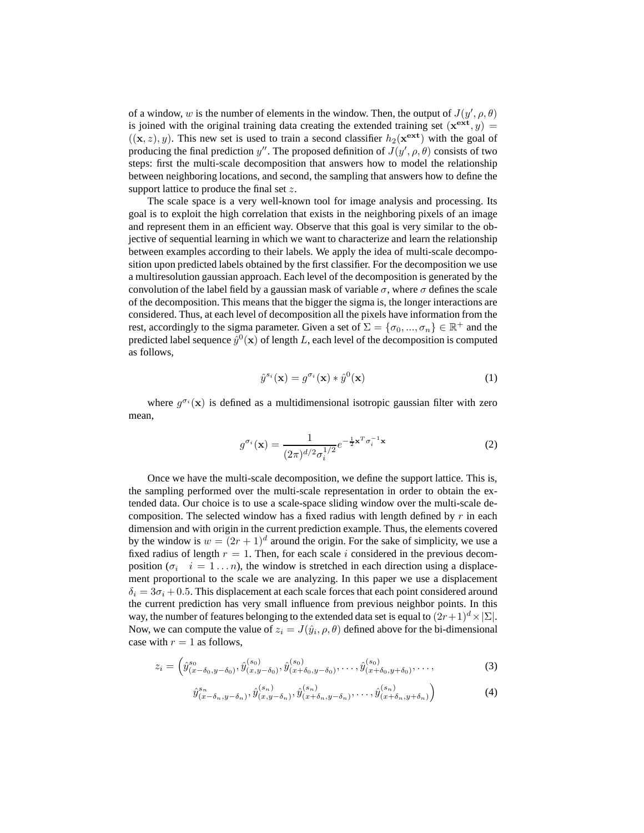of a window, w is the number of elements in the window. Then, the output of  $J(y', \rho, \theta)$ is joined with the original training data creating the extended training set  $(x^{ext}, y) =$  $((\mathbf{x}, z), y)$ . This new set is used to train a second classifier  $h_2(\mathbf{x}^{\text{ext}})$  with the goal of producing the final prediction y''. The proposed definition of  $J(y', \rho, \theta)$  consists of two steps: first the multi-scale decomposition that answers how to model the relationship between neighboring locations, and second, the sampling that answers how to define the support lattice to produce the final set z.

The scale space is a very well-known tool for image analysis and processing. Its goal is to exploit the high correlation that exists in the neighboring pixels of an image and represent them in an efficient way. Observe that this goal is very similar to the objective of sequential learning in which we want to characterize and learn the relationship between examples according to their labels. We apply the idea of multi-scale decomposition upon predicted labels obtained by the first classifier. For the decomposition we use a multiresolution gaussian approach. Each level of the decomposition is generated by the convolution of the label field by a gaussian mask of variable  $\sigma$ , where  $\sigma$  defines the scale of the decomposition. This means that the bigger the sigma is, the longer interactions are considered. Thus, at each level of decomposition all the pixels have information from the rest, accordingly to the sigma parameter. Given a set of  $\Sigma = \{\sigma_0, ..., \sigma_n\} \in \mathbb{R}^+$  and the predicted label sequence  $\tilde{y}^0(\mathbf{x})$  of length L, each level of the decomposition is computed as follows,

$$
\hat{y}^{s_i}(\mathbf{x}) = g^{\sigma_i}(\mathbf{x}) * \hat{y}^0(\mathbf{x})
$$
\n(1)

where  $g^{\sigma_i}(\mathbf{x})$  is defined as a multidimensional isotropic gaussian filter with zero mean,

$$
g^{\sigma_i}(\mathbf{x}) = \frac{1}{(2\pi)^{d/2} \sigma_i^{1/2}} e^{-\frac{1}{2}\mathbf{x}^T \sigma_i^{-1} \mathbf{x}}
$$
(2)

Once we have the multi-scale decomposition, we define the support lattice. This is, the sampling performed over the multi-scale representation in order to obtain the extended data. Our choice is to use a scale-space sliding window over the multi-scale decomposition. The selected window has a fixed radius with length defined by  $r$  in each dimension and with origin in the current prediction example. Thus, the elements covered by the window is  $w = (2r + 1)^d$  around the origin. For the sake of simplicity, we use a fixed radius of length  $r = 1$ . Then, for each scale i considered in the previous decomposition  $(\sigma_i \quad i = 1 \dots n)$ , the window is stretched in each direction using a displacement proportional to the scale we are analyzing. In this paper we use a displacement  $\delta_i = 3\sigma_i + 0.5$ . This displacement at each scale forces that each point considered around the current prediction has very small influence from previous neighbor points. In this way, the number of features belonging to the extended data set is equal to  $(2r+1)^d \times |\Sigma|$ . Now, we can compute the value of  $z_i = J(\hat{y}_i, \rho, \theta)$  defined above for the bi-dimensional case with  $r = 1$  as follows,

$$
z_i = \left(\hat{y}_{(x-\delta_0,y-\delta_0)}^{s_0}, \hat{y}_{(x,y-\delta_0)}^{(s_0)}, \hat{y}_{(x+\delta_0,y-\delta_0)}^{(s_0)}, \dots, \hat{y}_{(x+\delta_0,y+\delta_0)}^{(s_0)}, \dots\right)
$$
\n(3)

$$
\hat{y}_{(x-\delta_n,y-\delta_n)}^{s_n}, \hat{y}_{(x,y-\delta_n)}^{(s_n)}, \hat{y}_{(x+\delta_n,y-\delta_n)}^{(s_n)}, \dots, \hat{y}_{(x+\delta_n,y+\delta_n)}^{(s_n)} \tag{4}
$$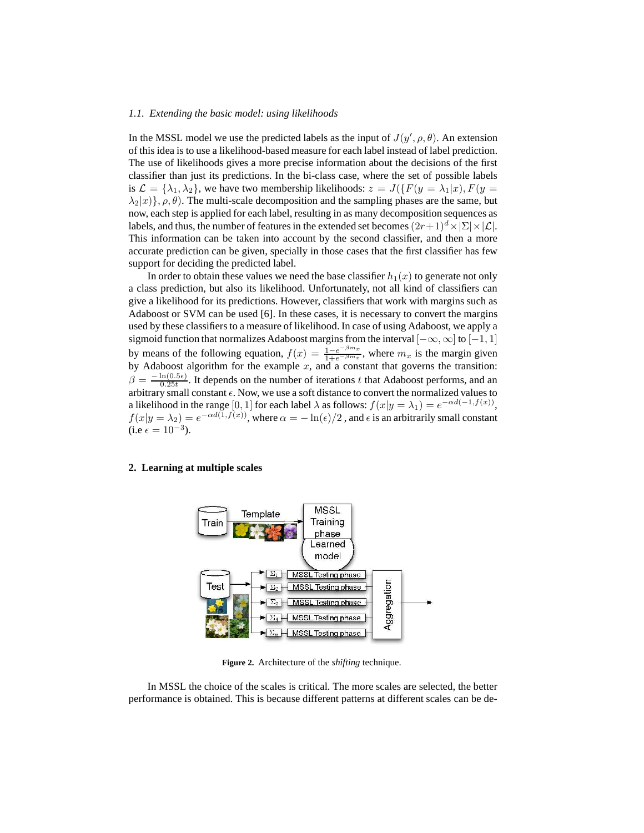#### *1.1. Extending the basic model: using likelihoods*

In the MSSL model we use the predicted labels as the input of  $J(y', \rho, \theta)$ . An extension of this idea is to use a likelihood-based measure for each label instead of label prediction. The use of likelihoods gives a more precise information about the decisions of the first classifier than just its predictions. In the bi-class case, where the set of possible labels is  $\mathcal{L} = {\lambda_1, \lambda_2}$ , we have two membership likelihoods:  $z = J({F(y = \lambda_1|x)}, F(y =$  $\lambda_2|x\rangle$ },  $\rho$ ,  $\theta$ ). The multi-scale decomposition and the sampling phases are the same, but now, each step is applied for each label, resulting in as many decomposition sequences as labels, and thus, the number of features in the extended set becomes  $(2r+1)^d \times |\Sigma| \times |\mathcal{L}|$ . This information can be taken into account by the second classifier, and then a more accurate prediction can be given, specially in those cases that the first classifier has few support for deciding the predicted label.

In order to obtain these values we need the base classifier  $h_1(x)$  to generate not only a class prediction, but also its likelihood. Unfortunately, not all kind of classifiers can give a likelihood for its predictions. However, classifiers that work with margins such as Adaboost or SVM can be used [6]. In these cases, it is necessary to convert the margins used by these classifiers to a measure of likelihood. In case of using Adaboost, we apply a sigmoid function that normalizes Adaboost margins from the interval  $[-\infty, \infty]$  to  $[-1, 1]$ by means of the following equation,  $f(x) = \frac{1-e^{-\beta m x}}{1+e^{-\beta m x}}$  $\frac{1-e^{-\beta mx}}{1+e^{-\beta mx}}$ , where  $m_x$  is the margin given by Adaboost algorithm for the example  $x$ , and a constant that governs the transition:  $\beta = \frac{-\ln(0.5\epsilon)}{0.25t}$  $\frac{\ln(0.5\epsilon)}{0.25t}$ . It depends on the number of iterations t that Adaboost performs, and an arbitrary small constant  $\epsilon$ . Now, we use a soft distance to convert the normalized values to a likelihood in the range [0, 1] for each label  $\lambda$  as follows:  $f(x|y = \lambda_1) = e^{-\alpha d(-1, f(x))}$ ,  $f(x|y = \lambda_2) = e^{-\alpha d(1, f(x))}$ , where  $\alpha = -\ln(\epsilon)/2$ , and  $\epsilon$  is an arbitrarily small constant (i.e  $\epsilon = 10^{-3}$ ).

## **2. Learning at multiple scales**



**Figure 2.** Architecture of the *shifting* technique.

In MSSL the choice of the scales is critical. The more scales are selected, the better performance is obtained. This is because different patterns at different scales can be de-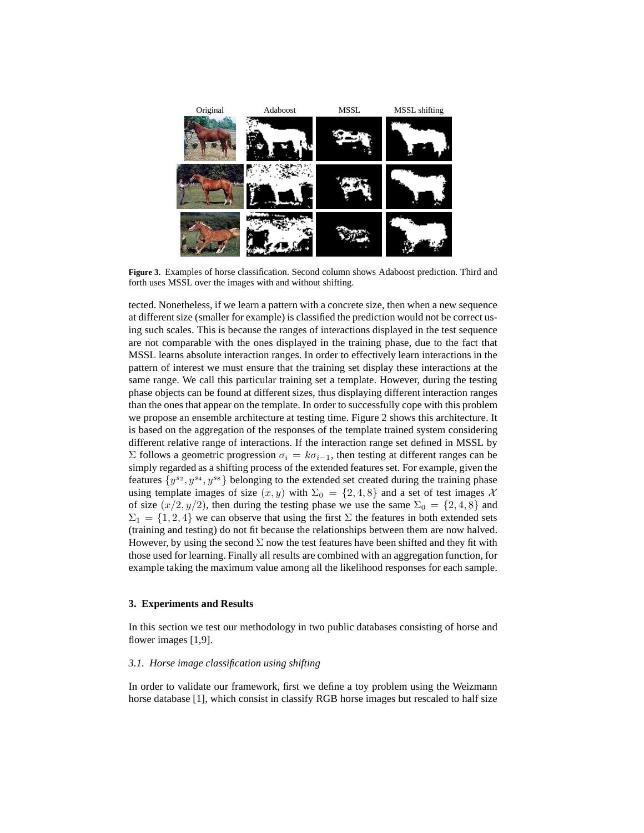

**Figure 3.** Examples of horse classification. Second column shows Adaboost prediction. Third and forth uses MSSL over the images with and without shifting.

tected. Nonetheless, if we learn a pattern with a concrete size, then when a new sequence at different size (smaller for example) is classified the prediction would not be correct using such scales. This is because the ranges of interactions displayed in the test sequence are not comparable with the ones displayed in the training phase, due to the fact that MSSL learns absolute interaction ranges. In order to effectively learn interactions in the pattern of interest we must ensure that the training set display these interactions at the same range. We call this particular training set a template. However, during the testing phase objects can be found at different sizes, thus displaying different interaction ranges than the ones that appear on the template. In order to successfully cope with this problem we propose an ensemble architecture at testing time. Figure 2 shows this architecture. It is based on the aggregation of the responses of the template trained system considering different relative range of interactions. If the interaction range set defined in MSSL by Σ follows a geometric progression  $\sigma_i = k\sigma_{i-1}$ , then testing at different ranges can be simply regarded as a shifting process of the extended features set. For example, given the features  $\{y^{s_2}, y^{s_4}, y^{s_8}\}$  belonging to the extended set created during the training phase using template images of size  $(x, y)$  with  $\Sigma_0 = \{2, 4, 8\}$  and a set of test images X of size  $(x/2, y/2)$ , then during the testing phase we use the same  $\Sigma_0 = \{2, 4, 8\}$  and  $\Sigma_1 = \{1, 2, 4\}$  we can observe that using the first  $\Sigma$  the features in both extended sets (training and testing) do not fit because the relationships between them are now halved. However, by using the second  $\Sigma$  now the test features have been shifted and they fit with those used for learning. Finally all results are combined with an aggregation function, for example taking the maximum value among all the likelihood responses for each sample.

#### **3. Experiments and Results**

In this section we test our methodology in two public databases consisting of horse and flower images [1,9].

#### *3.1. Horse image classification using shifting*

In order to validate our framework, first we define a toy problem using the Weizmann horse database [1], which consist in classify RGB horse images but rescaled to half size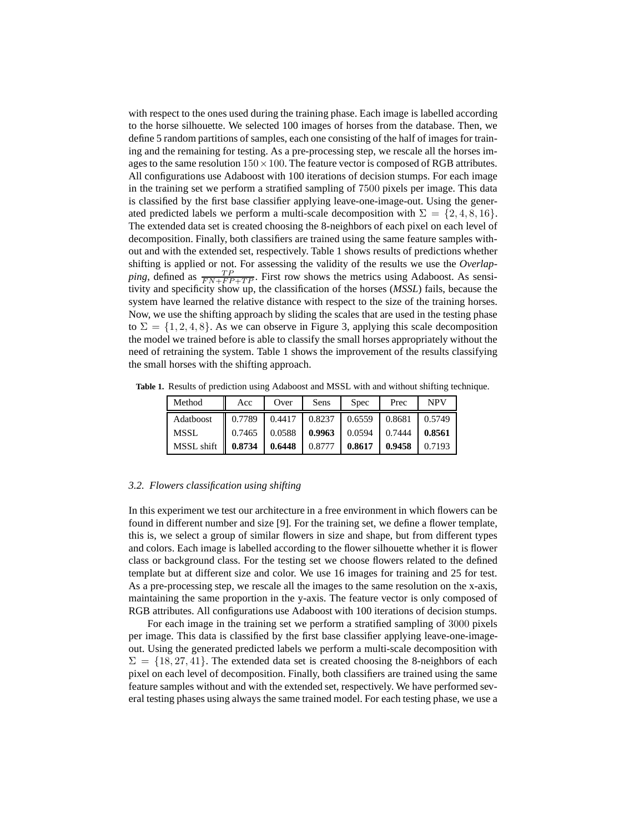with respect to the ones used during the training phase. Each image is labelled according to the horse silhouette. We selected 100 images of horses from the database. Then, we define 5 random partitions of samples, each one consisting of the half of images for training and the remaining for testing. As a pre-processing step, we rescale all the horses images to the same resolution  $150 \times 100$ . The feature vector is composed of RGB attributes. All configurations use Adaboost with 100 iterations of decision stumps. For each image in the training set we perform a stratified sampling of 7500 pixels per image. This data is classified by the first base classifier applying leave-one-image-out. Using the generated predicted labels we perform a multi-scale decomposition with  $\Sigma = \{2, 4, 8, 16\}$ . The extended data set is created choosing the 8-neighbors of each pixel on each level of decomposition. Finally, both classifiers are trained using the same feature samples without and with the extended set, respectively. Table 1 shows results of predictions whether shifting is applied or not. For assessing the validity of the results we use the *Overlapping*, defined as  $\frac{TP}{FN + FP + TP}$ . First row shows the metrics using Adaboost. As sensitivity and specificity show up, the classification of the horses (*MSSL*) fails, because the system have learned the relative distance with respect to the size of the training horses. Now, we use the shifting approach by sliding the scales that are used in the testing phase to  $\Sigma = \{1, 2, 4, 8\}$ . As we can observe in Figure 3, applying this scale decomposition the model we trained before is able to classify the small horses appropriately without the need of retraining the system. Table 1 shows the improvement of the results classifying the small horses with the shifting approach.

| Method      | Acc    | Over   | Sens              | <b>Spec</b>     | Prec                       | <b>NPV</b> |
|-------------|--------|--------|-------------------|-----------------|----------------------------|------------|
| Adatboost   | 0.7789 | 0.4417 | $0.8237$          | $0.6559$ 0.8681 |                            | 0.5749     |
| <b>MSSL</b> | 0.7465 |        | $0.0588$   0.9963 |                 | $0.0594$   0.7444   0.8561 |            |
| MSSL shift  | 0.8734 | 0.6448 | 0.8777            | 0.8617          | 0.9458                     | 0.7193     |

**Table 1.** Results of prediction using Adaboost and MSSL with and without shifting technique.

#### *3.2. Flowers classification using shifting*

In this experiment we test our architecture in a free environment in which flowers can be found in different number and size [9]. For the training set, we define a flower template, this is, we select a group of similar flowers in size and shape, but from different types and colors. Each image is labelled according to the flower silhouette whether it is flower class or background class. For the testing set we choose flowers related to the defined template but at different size and color. We use 16 images for training and 25 for test. As a pre-processing step, we rescale all the images to the same resolution on the x-axis, maintaining the same proportion in the y-axis. The feature vector is only composed of RGB attributes. All configurations use Adaboost with 100 iterations of decision stumps.

For each image in the training set we perform a stratified sampling of 3000 pixels per image. This data is classified by the first base classifier applying leave-one-imageout. Using the generated predicted labels we perform a multi-scale decomposition with  $\Sigma = \{18, 27, 41\}$ . The extended data set is created choosing the 8-neighbors of each pixel on each level of decomposition. Finally, both classifiers are trained using the same feature samples without and with the extended set, respectively. We have performed several testing phases using always the same trained model. For each testing phase, we use a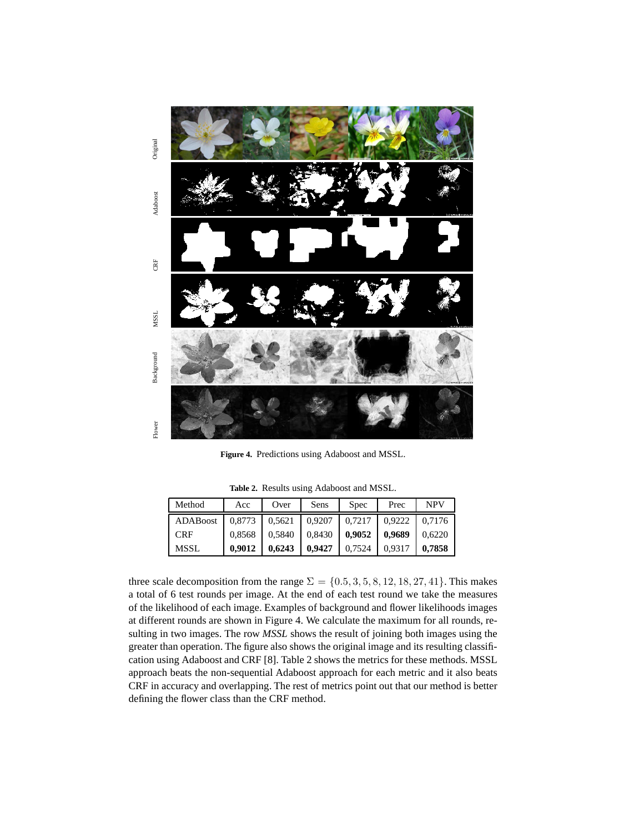

**Figure 4.** Predictions using Adaboost and MSSL.

**Table 2.** Results using Adaboost and MSSL.

| Method     | Acc    | Over   | Sens   | <b>Spec</b> | Prec   | <b>NPV</b> |
|------------|--------|--------|--------|-------------|--------|------------|
| ADABoost   | 0,8773 | 0,5621 | 0,9207 | 0.7217      | 0,9222 | 0.7176     |
| <b>CRF</b> | 0,8568 | 0,5840 | 0,8430 | 0,9052      | 0,9689 | 0,6220     |
| MSSL       | 0.9012 | 0.6243 | 0,9427 | 0,7524      | 0.9317 | 0.7858     |

three scale decomposition from the range  $\Sigma = \{0.5, 3, 5, 8, 12, 18, 27, 41\}$ . This makes a total of 6 test rounds per image. At the end of each test round we take the measures of the likelihood of each image. Examples of background and flower likelihoods images at different rounds are shown in Figure 4. We calculate the maximum for all rounds, resulting in two images. The row *MSSL* shows the result of joining both images using the greater than operation. The figure also shows the original image and its resulting classification using Adaboost and CRF [8]. Table 2 shows the metrics for these methods. MSSL approach beats the non-sequential Adaboost approach for each metric and it also beats CRF in accuracy and overlapping. The rest of metrics point out that our method is better defining the flower class than the CRF method.